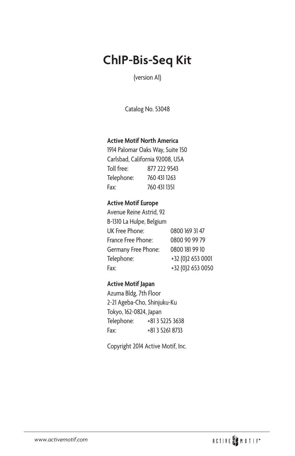# **ChIP-Bis-Seq Kit**

(version A1)

Catalog No. 53048

#### **Active Motif North America**

1914 Palomar Oaks Way, Suite 150 Carlsbad, California 92008, USA Toll free: 877 222 9543 Telephone: 760 431 1263 Fax: 760 431 1351

#### **Active Motif Europe**

| Avenue Reine Astrid, 92  |                   |
|--------------------------|-------------------|
| B-1310 La Hulpe, Belgium |                   |
| UK Free Phone:           | 0800 169 31 47    |
| France Free Phone:       | 0800 90 99 79     |
| Germany Free Phone:      | 0800 181 99 10    |
| Telephone:               | +32 (0)2 653 0001 |
| Fax:                     | +32 (0)2 653 0050 |

#### **Active Motif Japan**

Azuma Bldg, 7th Floor 2-21 Ageba-Cho, Shinjuku-Ku Tokyo, 162-0824, Japan Telephone: +81 3 5225 3638 Fax: +81 3 5261 8733

Copyright 2014 Active Motif, Inc.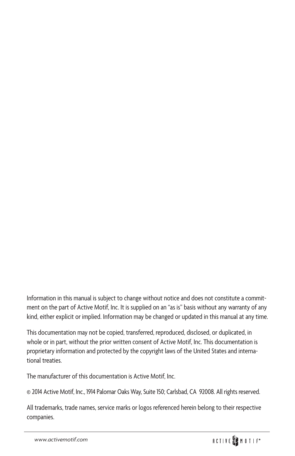Information in this manual is subject to change without notice and does not constitute a commitment on the part of Active Motif, Inc. It is supplied on an "as is" basis without any warranty of any kind, either explicit or implied. Information may be changed or updated in this manual at any time.

This documentation may not be copied, transferred, reproduced, disclosed, or duplicated, in whole or in part, without the prior written consent of Active Motif, Inc. This documentation is proprietary information and protected by the copyright laws of the United States and international treaties.

The manufacturer of this documentation is Active Motif, Inc.

© 2014 Active Motif, Inc., 1914 Palomar Oaks Way, Suite 150; Carlsbad, CA 92008. All rights reserved.

All trademarks, trade names, service marks or logos referenced herein belong to their respective companies.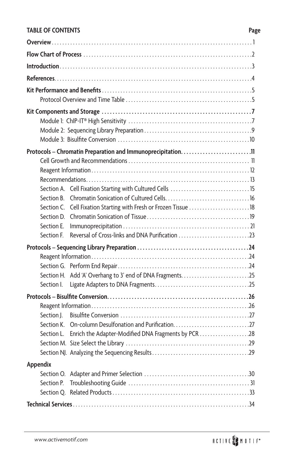### **TABLE OF CONTENTS Page**

|            | Section A. Cell Fixation Starting with Cultured Cells  15         |  |
|------------|-------------------------------------------------------------------|--|
| Section B. |                                                                   |  |
|            | Section C. Cell Fixation Starting with Fresh or Frozen Tissue  18 |  |
|            |                                                                   |  |
| Section E. |                                                                   |  |
| Section F. | Reversal of Cross-links and DNA Purification 23                   |  |
|            |                                                                   |  |
|            |                                                                   |  |
|            |                                                                   |  |
| Section I. |                                                                   |  |
|            |                                                                   |  |
|            |                                                                   |  |
| Section J. |                                                                   |  |
| Section K. |                                                                   |  |
| Section L. | Enrich the Adapter-Modified DNA Fragments by PCR 28               |  |
|            |                                                                   |  |
|            |                                                                   |  |
| Appendix   |                                                                   |  |
|            |                                                                   |  |
| Section P. |                                                                   |  |
|            |                                                                   |  |
|            |                                                                   |  |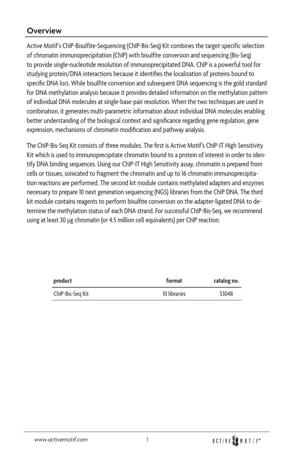### **Overview**

Active Motif's ChIP-Bisulfite-Sequencing (ChIP-Bis-Seq) Kit combines the target-specific selection of chromatin immunoprecipitation (ChIP) with bisulfite conversion and sequencing (Bis-Seq) to provide single-nucleotide resolution of immunoprecipitated DNA. ChIP is a powerful tool for studying protein/DNA interactions because it identifies the localization of proteins bound to specific DNA loci. While bisulfite conversion and subsequent DNA sequencing is the gold standard for DNA methylation analysis because it provides detailed information on the methylation pattern of individual DNA molecules at single-base-pair resolution. When the two techniques are used in combination, it generates multi-parametric information about individual DNA molecules enabling better understanding of the biological context and significance regarding gene regulation, gene expression, mechanisms of chromatin modification and pathway analysis.

The ChIP-Bis-Seq Kit consists of three modules. The first is Active Motif's ChIP-IT High Sensitivity Kit which is used to immunoprecipitate chromatin bound to a protein of interest in order to identify DNA binding sequences. Using our ChIP-IT High Sensitivity assay, chromatin is prepared from cells or tissues, sonicated to fragment the chromatin and up to 16 chromatin immunoprecipitation reactions are performed. The second kit module contains methylated adapters and enzymes necessary to prepare 10 next generation sequencing (NGS) libraries from the ChIP DNA. The third kit module contains reagents to perform bisulfite conversion on the adapter-ligated DNA to determine the methylation status of each DNA strand. For successful ChIP-Bis-Seq, we recommend using at least 30 µg chromatin (or 4.5 million cell equivalents) per ChIP reaction.

| product          | format       | catalog no. |
|------------------|--------------|-------------|
| ChIP-Bis-Seq Kit | 10 libraries | 53048       |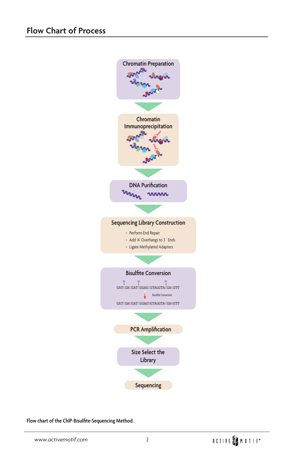

**Flow chart of the ChIP-Bisulfite-Sequencing Method.**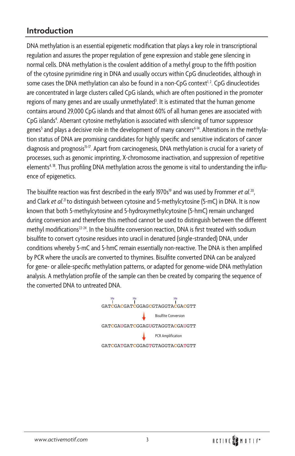### **Introduction**

DNA methylation is an essential epigenetic modification that plays a key role in transcriptional regulation and assures the proper regulation of gene expression and stable gene silencing in normal cells. DNA methylation is the covalent addition of a methyl group to the fifth position of the cytosine pyrimidine ring in DNA and usually occurs within CpG dinucleotides, although in some cases the DNA methylation can also be found in a non-CpG context $^{1,2}$ . CpG dinucleotides are concentrated in large clusters called CpG islands, which are often positioned in the promoter regions of many genes and are usually unmethylated<sup>3</sup>. It is estimated that the human genome contains around 29,000 CpG islands and that almost 60% of all human genes are associated with CpG islands<sup>4</sup>. Aberrant cytosine methylation is associated with silencing of tumor suppressor genes<sup>5</sup> and plays a decisive role in the development of many cancers<sup>6-14</sup>. Alterations in the methylation status of DNA are promising candidates for highly specific and sensitive indicators of cancer diagnosis and prognosis<sup>15-17</sup>. Apart from carcinogenesis, DNA methylation is crucial for a variety of processes, such as genomic imprinting, X-chromosome inactivation, and suppression of repetitive elements<sup>4, 18</sup>. Thus profiling DNA methylation across the genome is vital to understanding the influence of epigenetics.

The bisulfite reaction was first described in the early 1970s<sup>19</sup> and was used by Frommer et al.<sup>20</sup>, and Clark et al.<sup>21</sup> to distinguish between cytosine and 5-methylcytosine (5-mC) in DNA. It is now known that both 5-methylcytosine and 5-hydroxymethylcytosine (5-hmC) remain unchanged during conversion and therefore this method cannot be used to distinguish between the different methyl modifications<sup>22-24</sup>. In the bisulfite conversion reaction, DNA is first treated with sodium bisulfite to convert cytosine residues into uracil in denatured (single-stranded) DNA, under conditions whereby 5-mC and 5-hmC remain essentially non-reactive. The DNA is then amplified by PCR where the uracils are converted to thymines. Bisulfite converted DNA can be analyzed for gene- or allele-specific methylation patterns, or adapted for genome-wide DNA methylation analysis. A methylation profile of the sample can then be created by comparing the sequence of the converted DNA to untreated DNA.

> GAT**C**GAUGAT**C**GGAGUGTAGGTA**C**GAUGTT GAT**C**GA**C**GAT**C**GGAG**C**GTAGGTA**C**GA**C**GTT Me Me Me GAT**C**GATGAT**C**GGAGTGTAGGTA**C**GATGTT Bisulfite Conversion PCR Amplification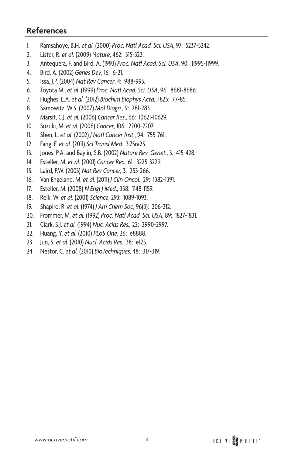### **References**

- 1. Ramsahoye, B.H. *et al.* (2000) *Proc. Natl Acad. Sci. USA*, 97: 5237-5242.
- 2. Lister, R. *et al.* (2009) N*ature*, 462: 315-322.
- 3. Antequera, F. and Bird, A. (1993) *Proc. Natl Acad. Sci. USA*, 90: 11995-11999.
- 4. Bird, A. (2002) *Genes Dev*, 16: 6-21.
- 5. Issa, J.P. (2004) *Nat Rev Cancer*, 4: 988-993.
- 6. Toyota M., *et al*. (1999) *Proc. Natl Acad. Sci. USA*, 96: 8681-8686.
- 7. Hughes, L.A. *et al.* (2012) *Biochim Biophys Acta.*, 1825: 77-85.
- 8. Samowitz, W.S. (2007) *Mol Diagn*., 9: 281-283.
- 9. Marsit, C.J. *et al.* (2006) *Cancer Res*., 66: 10621-10629.
- 10. Suzuki, M. *et al.* (2006) *Cancer*, 106: 2200-2207.
- 11. Shen, L. *et al*. (2002) *J Natl Cancer Inst*., 94: 755-761.
- 12. Fang, F. *et al*. (2011) *Sci Transl Med*., 3:75ra25.
- 13. Jones, P.A. and Baylin, S.B. (2002) *Nature Rev. Genet.*, 3: 415-428.
- 14. Esteller, M. *et al.* (2001) *Cancer Res.*, 61: 3225-3229.
- 15. Laird, P.W. (2003) *Nat Rev Cancer,* 3: 253-266.
- 16. Van Engeland, M. *et al*. (2011) *J Clin Oncol*., 29: 1382-1391.
- 17. Esteller, M. (2008) *N Engl J Med*., 358: 1148-1159.
- 18. Reik, W. *et al*. (2001) *Science*, 293: 1089-1093.
- 19. Shapiro, R. *et al*. (1974) *J Am Chem Soc*, 96(3): 206-212.
- 20. Frommer, M. *et al.* (1992) *Proc. Natl Acad. Sci. USA*, 89: 1827-1831.
- 21. Clark, S.J. *et al.* (1994) *Nuc. Acids Res.,* 22: 2990-2997.
- 22. Huang, Y. *et al.* (2010) *PLoS One*, 26: e8888.
- 23. Jun, S. *et al*. (2010) *Nucl. Acids Res*., 38: e125.
- 24. Nestor, C. *et al.* (2010) *BioTechniques*, 48: 317-319.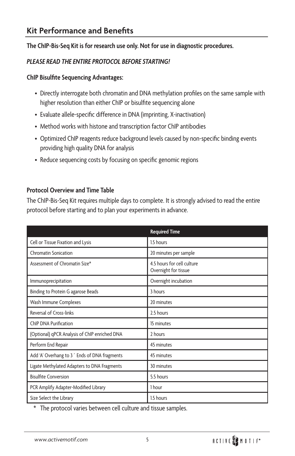#### **The ChIP-Bis-Seq Kit is for research use only. Not for use in diagnostic procedures.**

#### *PLEASE READ THE ENTIRE PROTOCOL BEFORE STARTING!*

#### **ChIP Bisulfite Sequencing Advantages:**

- Directly interrogate both chromatin and DNA methylation profiles on the same sample with higher resolution than either ChIP or bisulfite sequencing alone
- Evaluate allele-specific difference in DNA (imprinting, X-inactivation)
- Method works with histone and transcription factor ChIP antibodies
- Optimized ChIP reagents reduce background levels caused by non-specific binding events providing high quality DNA for analysis
- Reduce sequencing costs by focusing on specific genomic regions

#### **Protocol Overview and Time Table**

The ChIP-Bis-Seq Kit requires multiple days to complete. It is strongly advised to read the entire protocol before starting and to plan your experiments in advance.

|                                               | <b>Required Time</b>                               |
|-----------------------------------------------|----------------------------------------------------|
| Cell or Tissue Fixation and Lysis             | 1.5 hours                                          |
| <b>Chromatin Sonication</b>                   | 20 minutes per sample                              |
| Assessment of Chromatin Size*                 | 4.5 hours for cell culture<br>Overnight for tissue |
| Immunoprecipitation                           | Overnight incubation                               |
| Binding to Protein G agarose Beads            | 3 hours                                            |
| Wash Immune Complexes                         | 20 minutes                                         |
| <b>Reversal of Cross-links</b>                | 2.5 hours                                          |
| <b>ChIP DNA Purification</b>                  | 15 minutes                                         |
| (Optional) qPCR Analysis of ChIP enriched DNA | 2 hours                                            |
| Perform End Repair                            | 45 minutes                                         |
| Add 'A' Overhang to 3 ' Ends of DNA fragments | 45 minutes                                         |
| Ligate Methylated Adapters to DNA Fragments   | 30 minutes                                         |
| <b>Bisulfite Conversion</b>                   | 5.5 hours                                          |
| PCR Amplify Adapter-Modified Library          | 1 hour                                             |
| Size Select the Library                       | 1.5 hours                                          |

\* The protocol varies between cell culture and tissue samples.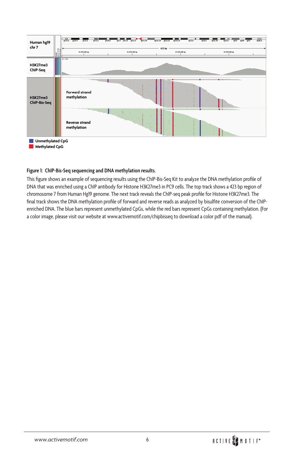

#### **Figure 1: ChIP-Bis-Seq sequencing and DNA methylation results.**

This figure shows an example of sequencing results using the ChIP-Bis-Seq Kit to analyze the DNA methylation profile of DNA that was enriched using a ChIP antibody for Histone H3K27me3 in PC9 cells. The top track shows a 423 bp region of chromosome 7 from Human Hg19 genome. The next track reveals the ChIP-seq peak profile for Histone H3K27me3. The final track shows the DNA methylation profile of forward and reverse reads as analyzed by bisulfite conversion of the ChIPenriched DNA. The blue bars represent unmethylated CpGs, while the red bars represent CpGs containing methylation. (For a color image, please visit our website at www.activemotif.com/chipbisseq to download a color pdf of the manual).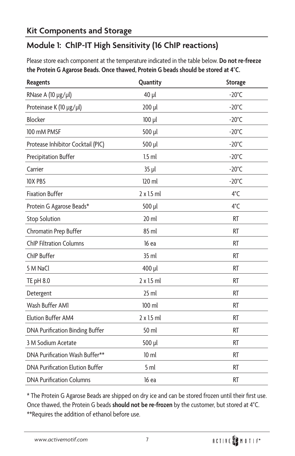### **Kit Components and Storage**

### **Module 1: ChIP-IT High Sensitivity (16 ChIP reactions)**

Please store each component at the temperature indicated in the table below. **Do not re-freeze the Protein G Agarose Beads. Once thawed, Protein G beads should be stored at 4**°**C.**

| <b>Reagents</b>                        | Quantity        | <b>Storage</b>  |
|----------------------------------------|-----------------|-----------------|
| RNase A (10 µg/µl)                     | 40 µl           | $-20^{\circ}$ C |
| Proteinase K (10 µg/µl)                | 200 µl          | $-20^{\circ}$ C |
| Blocker                                | 100 µl          | $-20^{\circ}$ C |
| 100 mM PMSF                            | 500 µl          | $-20^{\circ}$ C |
| Protease Inhibitor Cocktail (PIC)      | 500 µl          | $-20^{\circ}$ C |
| <b>Precipitation Buffer</b>            | $1.5$ ml        | $-20^{\circ}$ C |
| Carrier                                | 35 µl           | $-20^{\circ}$ C |
| <b>10X PBS</b>                         | 120 ml          | $-20^{\circ}$ C |
| <b>Fixation Buffer</b>                 | 2 x 1.5 ml      | $4^{\circ}$ C   |
| Protein G Agarose Beads*               | 500 µl          | $4^{\circ}$ C   |
| <b>Stop Solution</b>                   | $20$ ml         | <b>RT</b>       |
| Chromatin Prep Buffer                  | 85 ml           | <b>RT</b>       |
| <b>ChIP Filtration Columns</b>         | 16 ea           | <b>RT</b>       |
| ChIP Buffer                            | 35 ml           | <b>RT</b>       |
| 5 M NaCl                               | 400 µl          | <b>RT</b>       |
| TE pH 8.0                              | 2 x 1.5 ml      | <b>RT</b>       |
| Detergent                              | $25$ ml         | <b>RT</b>       |
| Wash Buffer AM1                        | 100 ml          | <b>RT</b>       |
| Elution Buffer AM4                     | 2 x 1.5 ml      | <b>RT</b>       |
| DNA Purification Binding Buffer        | 50 ml           | <b>RT</b>       |
| 3 M Sodium Acetate                     | 500 µl          | <b>RT</b>       |
| DNA Purification Wash Buffer**         | $10 \mathrm{m}$ | <b>RT</b>       |
| <b>DNA Purification Elution Buffer</b> | 5 ml            | <b>RT</b>       |
| <b>DNA Purification Columns</b>        | 16 ea           | RT              |

\* The Protein G Agarose Beads are shipped on dry ice and can be stored frozen until their first use. Once thawed, the Protein G beads **should not be re-frozen** by the customer, but stored at 4ºC. \*\*Requires the addition of ethanol before use.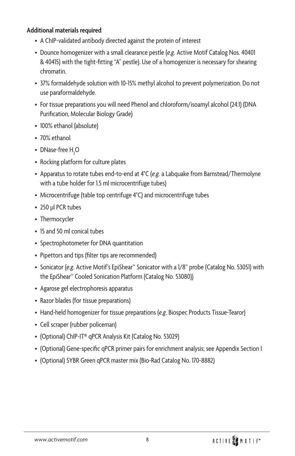#### **Additional materials required**

- A ChIP-validated antibody directed against the protein of interest
- Dounce homogenizer with a small clearance pestle (*e.g.* Active Motif Catalog Nos. 40401 & 40415) with the tight-fitting "A" pestle). Use of a homogenizer is necessary for shearing chromatin.
- 37% formaldehyde solution with 10-15% methyl alcohol to prevent polymerization. Do not use paraformaldehyde.
- For tissue preparations you will need Phenol and chloroform/isoamyl alcohol (24:1) (DNA Purification, Molecular Biology Grade)
- 100% ethanol (absolute)
- 70% ethanol
- DNase-free  $H_2O$
- Rocking platform for culture plates
- Apparatus to rotate tubes end-to-end at 4°C (*e.g.* a Labquake from Barnstead/Thermolyne with a tube holder for 1.5 ml microcentrifuge tubes)
- Microcentrifuge (table top centrifuge 4°C) and microcentrifuge tubes
- 250 µl PCR tubes
- Thermocycler
- 15 and 50 ml conical tubes
- Spectrophotometer for DNA quantitation
- Pipettors and tips (filter tips are recommended)
- Sonicator (*e.g.* Active Motif's EpiShear™ Sonicator with a 1/8" probe (Catalog No. 53051) with the EpiShear™ Cooled Sonication Platform (Catalog No. 53080))
- Agarose gel electrophoresis apparatus
- Razor blades (for tissue preparations)
- Hand-held homogenizer for tissue preparations (*e.g*. Biospec Products Tissue-Tearor)
- Cell scraper (rubber policeman)
- (Optional) ChIP-IT® qPCR Analysis Kit (Catalog No. 53029)
- (Optional) Gene-specific qPCR primer pairs for enrichment analysis; see Appendix Section I
- (Optional) SYBR Green qPCR master mix (Bio-Rad Catalog No. 170-8882)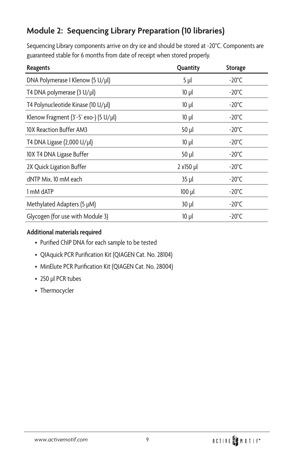## **Module 2: Sequencing Library Preparation (10 libraries)**

Sequencing Library components arrive on dry ice and should be stored at -20ºC. Components are guaranteed stable for 6 months from date of receipt when stored properly.

| <b>Reagents</b>                               | Quantity    | <b>Storage</b>   |
|-----------------------------------------------|-------------|------------------|
| DNA Polymerase I Klenow (5 U/µl)              | $5$ $\mu$   | $-20^{\circ}$ C  |
| T4 DNA polymerase (3 U/µl)                    | $10 \mu l$  | -20 $^{\circ}$ C |
| T4 Polynucleotide Kinase (10 U/µl)            | $10 \mu l$  | $-20^{\circ}$ C  |
| Klenow Fragment $(3'-5'$ exo-) $(5 U/ \mu l)$ | $10 \mu l$  | $-20^{\circ}$ C  |
| 10X Reaction Buffer AM3                       | 50 µl       | $-20^{\circ}$ C  |
| T4 DNA Ligase (2,000 U/µl)                    | $10 \mu l$  | $-20^{\circ}$ C  |
| 10X T4 DNA Ligase Buffer                      | 50 µl       | $-20^{\circ}$ C  |
| 2X Quick Ligation Buffer                      | $2 x150$ µl | $-20^{\circ}$ C  |
| dNTP Mix, 10 mM each                          | 35 µl       | $-20^{\circ}$ C  |
| 1 mM dATP                                     | $100$ $\mu$ | $-20^{\circ}$ C  |
| Methylated Adapters (5 µM)                    | $30$ $\mu$  | $-20^{\circ}$ C  |
| Glycogen (for use with Module 3)              | $10 \mu l$  | $-20^{\circ}$ C  |

#### **Additional materials required**

- Purified ChIP DNA for each sample to be tested
- QIAquick PCR Purification Kit (QIAGEN Cat. No. 28104)
- MinElute PCR Purification Kit (QIAGEN Cat. No. 28004)
- 250 µl PCR tubes
- Thermocycler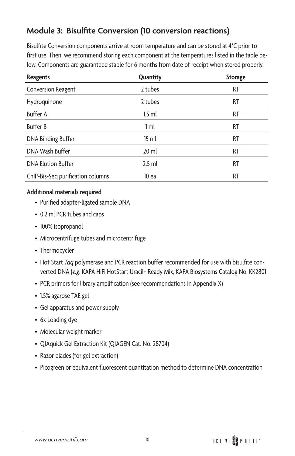### **Module 3: Bisulfite Conversion (10 conversion reactions)**

Bisulfite Conversion components arrive at room temperature and can be stored at 4ºC prior to first use. Then, we recommend storing each component at the temperatures listed in the table below. Components are guaranteed stable for 6 months from date of receipt when stored properly.

| <b>Reagents</b>                   | Quantity         | <b>Storage</b> |
|-----------------------------------|------------------|----------------|
| Conversion Reagent                | 2 tubes          | RT             |
| Hydroquinone                      | 2 tubes          | RT             |
| <b>Buffer A</b>                   | $1.5$ ml         | RT             |
| <b>Buffer B</b>                   | 1 <sub>m</sub>   | RT             |
| DNA Binding Buffer                | 15 <sub>ml</sub> | RT             |
| DNA Wash Buffer                   | $20$ ml          | RT             |
| <b>DNA Elution Buffer</b>         | $2.5$ ml         | RT             |
| ChIP-Bis-Seq purification columns | 10 ea            | RT             |

#### **Additional materials required**

- Purified adapter-ligated sample DNA
- 0.2 ml PCR tubes and caps
- 100% isopropanol
- Microcentrifuge tubes and microcentrifuge
- Thermocycler
- Hot Start *Taq* polymerase and PCR reaction buffer recommended for use with bisulfite converted DNA (*e.g*. KAPA HiFi HotStart Uracil+ Ready Mix, KAPA Biosystems Catalog No. KK2801
- PCR primers for library amplification (see recommendations in Appendix X)
- 1.5% agarose TAE gel
- Gel apparatus and power supply
- 6x Loading dye
- Molecular weight marker
- QIAquick Gel Extraction Kit (QIAGEN Cat. No. 28704)
- Razor blades (for gel extraction)
- Picogreen or equivalent fluorescent quantitation method to determine DNA concentration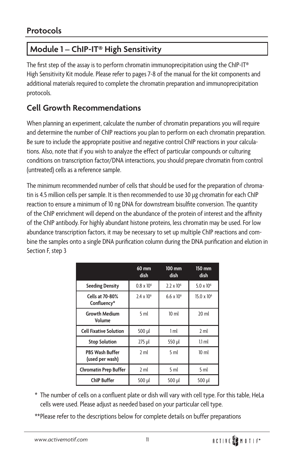## **Module 1 – ChIP-IT® High Sensitivity**

The first step of the assay is to perform chromatin immunoprecipitation using the ChIP-IT® High Sensitivity Kit module. Please refer to pages 7-8 of the manual for the kit components and additional materials required to complete the chromatin preparation and immunoprecipitation protocols.

### **Cell Growth Recommendations**

When planning an experiment, calculate the number of chromatin preparations you will require and determine the number of ChIP reactions you plan to perform on each chromatin preparation. Be sure to include the appropriate positive and negative control ChIP reactions in your calculations. Also, note that if you wish to analyze the effect of particular compounds or culturing conditions on transcription factor/DNA interactions, you should prepare chromatin from control (untreated) cells as a reference sample.

The minimum recommended number of cells that should be used for the preparation of chromatin is 4.5 million cells per sample. It is then recommended to use 30 µg chromatin for each ChIP reaction to ensure a minimum of 10 ng DNA for downstream bisulfite conversion. The quantity of the ChIP enrichment will depend on the abundance of the protein of interest and the affinity of the ChIP antibody. For highly abundant histone proteins, less chromatin may be used. For low abundance transcription factors, it may be necessary to set up multiple ChIP reactions and combine the samples onto a single DNA purification column during the DNA purification and elution in Section F, step 3

|                                           | $60$ mm<br>dish     | $100 \text{ mm}$<br><b>dish</b> | 150 mm<br>dish       |
|-------------------------------------------|---------------------|---------------------------------|----------------------|
| <b>Seeding Density</b>                    | $0.8 \times 10^{6}$ | $2.2 \times 10^6$               | $5.0 \times 10^{6}$  |
| Cells at 70-80%<br>Confluency*            | $2.4 \times 10^{6}$ | $6.6 \times 10^{6}$             | $15.0 \times 10^{6}$ |
| <b>Growth Medium</b><br>Volume            | 5 <sub>m</sub>      | 10 <sub>ml</sub>                | $20$ ml              |
| <b>Cell Fixative Solution</b>             | 500 µl              | 1 <sub>ml</sub>                 | 2 <sub>m</sub>       |
| <b>Stop Solution</b>                      | $275$ µl            | 550 µl                          | $1.1$ ml             |
| <b>PBS Wash Buffer</b><br>(used per wash) | 2 <sub>m</sub>      | 5 <sub>m</sub>                  | 10 <sub>ml</sub>     |
| <b>Chromatin Prep Buffer</b>              | 2 ml                | 5 <sub>ml</sub>                 | 5 <sub>ml</sub>      |
| <b>ChIP Buffer</b>                        | 500 µl              | 500 µl                          | 500 µl               |

- \* The number of cells on a confluent plate or dish will vary with cell type. For this table, HeLa cells were used. Please adjust as needed based on your particular cell type.
- \*\*Please refer to the descriptions below for complete details on buffer preparations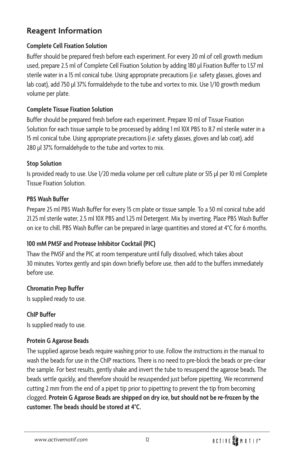### **Reagent Information**

### **Complete Cell Fixation Solution**

Buffer should be prepared fresh before each experiment. For every 20 ml of cell growth medium used, prepare 2.5 ml of Complete Cell Fixation Solution by adding 180 µl Fixation Buffer to 1.57 ml sterile water in a 15 ml conical tube. Using appropriate precautions (*i.e.* safety glasses, gloves and lab coat), add 750 µl 37% formaldehyde to the tube and vortex to mix. Use 1/10 growth medium volume per plate.

### **Complete Tissue Fixation Solution**

Buffer should be prepared fresh before each experiment. Prepare 10 ml of Tissue Fixation Solution for each tissue sample to be processed by adding 1 ml 10X PBS to 8.7 ml sterile water in a 15 ml conical tube. Using appropriate precautions (*i.e.* safety glasses, gloves and lab coat), add 280 µl 37% formaldehyde to the tube and vortex to mix.

### **Stop Solution**

Is provided ready to use. Use 1/20 media volume per cell culture plate or 515 µl per 10 ml Complete Tissue Fixation Solution.

### **PBS Wash Buffer**

Prepare 25 ml PBS Wash Buffer for every 15 cm plate or tissue sample. To a 50 ml conical tube add 21.25 ml sterile water, 2.5 ml 10X PBS and 1.25 ml Detergent. Mix by inverting. Place PBS Wash Buffer on ice to chill. PBS Wash Buffer can be prepared in large quantities and stored at 4ºC for 6 months.

### **100 mM PMSF and Protease Inhibitor Cocktail (PIC)**

Thaw the PMSF and the PIC at room temperature until fully dissolved, which takes about 30 minutes. Vortex gently and spin down briefly before use, then add to the buffers immediately before use.

### **Chromatin Prep Buffer**

Is supplied ready to use.

**ChIP Buffer** Is supplied ready to use.

### **Protein G Agarose Beads**

The supplied agarose beads require washing prior to use. Follow the instructions in the manual to wash the beads for use in the ChIP reactions. There is no need to pre-block the beads or pre-clear the sample. For best results, gently shake and invert the tube to resuspend the agarose beads. The beads settle quickly, and therefore should be resuspended just before pipetting. We recommend cutting 2 mm from the end of a pipet tip prior to pipetting to prevent the tip from becoming clogged. **Protein G Agarose Beads are shipped on dry ice, but should not be re-frozen by the customer. The beads should be stored at 4ºC.**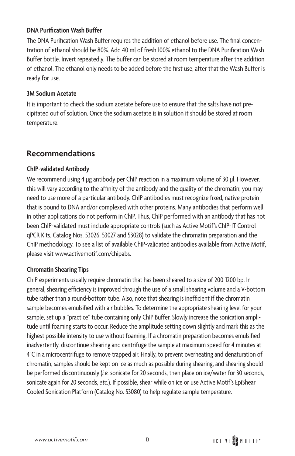#### **DNA Purification Wash Buffer**

The DNA Purification Wash Buffer requires the addition of ethanol before use. The final concentration of ethanol should be 80%. Add 40 ml of fresh 100% ethanol to the DNA Purification Wash Buffer bottle. Invert repeatedly. The buffer can be stored at room temperature after the addition of ethanol. The ethanol only needs to be added before the first use, after that the Wash Buffer is ready for use.

### **3M Sodium Acetate**

It is important to check the sodium acetate before use to ensure that the salts have not precipitated out of solution. Once the sodium acetate is in solution it should be stored at room temperature.

### **Recommendations**

### **ChIP-validated Antibody**

We recommend using 4 µg antibody per ChIP reaction in a maximum volume of 30 µl. However, this will vary according to the affinity of the antibody and the quality of the chromatin; you may need to use more of a particular antibody. ChIP antibodies must recognize fixed, native protein that is bound to DNA and/or complexed with other proteins. Many antibodies that perform well in other applications do not perform in ChIP. Thus, ChIP performed with an antibody that has not been ChIP-validated must include appropriate controls (such as Active Motif's ChIP-IT Control qPCR Kits, Catalog Nos. 53026, 53027 and 53028) to validate the chromatin preparation and the ChIP methodology. To see a list of available ChIP-validated antibodies available from Active Motif, please visit www.activemotif.com/chipabs.

### **Chromatin Shearing Tips**

ChIP experiments usually require chromatin that has been sheared to a size of 200-1200 bp. In general, shearing efficiency is improved through the use of a small shearing volume and a V-bottom tube rather than a round-bottom tube. Also, note that shearing is inefficient if the chromatin sample becomes emulsified with air bubbles. To determine the appropriate shearing level for your sample, set up a "practice" tube containing only ChIP Buffer. Slowly increase the sonication amplitude until foaming starts to occur. Reduce the amplitude setting down slightly and mark this as the highest possible intensity to use without foaming. If a chromatin preparation becomes emulsified inadvertently, discontinue shearing and centrifuge the sample at maximum speed for 4 minutes at 4ºC in a microcentrifuge to remove trapped air. Finally, to prevent overheating and denaturation of chromatin, samples should be kept on ice as much as possible during shearing, and shearing should be performed discontinuously (*i.e.* sonicate for 20 seconds, then place on ice/water for 30 seconds, sonicate again for 20 seconds, *etc.*). If possible, shear while on ice or use Active Motif's EpiShear Cooled Sonication Platform (Catalog No. 53080) to help regulate sample temperature.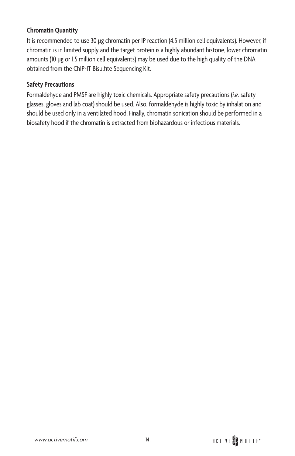### **Chromatin Quantity**

It is recommended to use 30 µg chromatin per IP reaction (4.5 million cell equivalents). However, if chromatin is in limited supply and the target protein is a highly abundant histone, lower chromatin amounts (10 µg or 1.5 million cell equivalents) may be used due to the high quality of the DNA obtained from the ChIP-IT Bisulfite Sequencing Kit.

#### **Safety Precautions**

Formaldehyde and PMSF are highly toxic chemicals. Appropriate safety precautions (*i.e.* safety glasses, gloves and lab coat) should be used. Also, formaldehyde is highly toxic by inhalation and should be used only in a ventilated hood. Finally, chromatin sonication should be performed in a biosafety hood if the chromatin is extracted from biohazardous or infectious materials.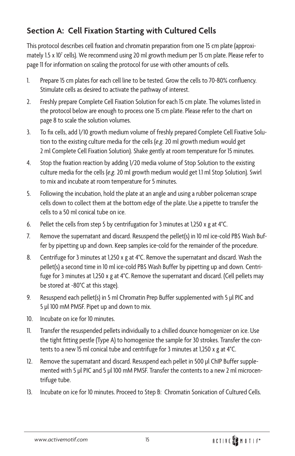### **Section A: Cell Fixation Starting with Cultured Cells**

This protocol describes cell fixation and chromatin preparation from one 15 cm plate (approximately 1.5 x 10<sup>7</sup> cells). We recommend using 20 ml growth medium per 15 cm plate. Please refer to page 11 for information on scaling the protocol for use with other amounts of cells.

- 1. Prepare 15 cm plates for each cell line to be tested. Grow the cells to 70-80% confluency. Stimulate cells as desired to activate the pathway of interest.
- 2. Freshly prepare Complete Cell Fixation Solution for each 15 cm plate. The volumes listed in the protocol below are enough to process one 15 cm plate. Please refer to the chart on page 8 to scale the solution volumes.
- 3. To fix cells, add 1/10 growth medium volume of freshly prepared Complete Cell Fixative Solution to the existing culture media for the cells (*e.g.* 20 ml growth medium would get 2 ml Complete Cell Fixation Solution). Shake gently at room temperature for 15 minutes.
- 4. Stop the fixation reaction by adding 1/20 media volume of Stop Solution to the existing culture media for the cells (*e.g.* 20 ml growth medium would get 1.1 ml Stop Solution). Swirl to mix and incubate at room temperature for 5 minutes.
- 5. Following the incubation, hold the plate at an angle and using a rubber policeman scrape cells down to collect them at the bottom edge of the plate. Use a pipette to transfer the cells to a 50 ml conical tube on ice.
- 6. Pellet the cells from step 5 by centrifugation for 3 minutes at 1,250 x g at 4°C.
- 7. Remove the supernatant and discard. Resuspend the pellet(s) in 10 ml ice-cold PBS Wash Buffer by pipetting up and down. Keep samples ice-cold for the remainder of the procedure.
- 8. Centrifuge for 3 minutes at 1,250 x g at 4°C. Remove the supernatant and discard. Wash the pellet(s) a second time in 10 ml ice-cold PBS Wash Buffer by pipetting up and down. Centrifuge for 3 minutes at 1,250 x g at 4°C. Remove the supernatant and discard. (Cell pellets may be stored at -80°C at this stage).
- 9. Resuspend each pellet(s) in 5 ml Chromatin Prep Buffer supplemented with 5 µl PIC and 5 µl 100 mM PMSF. Pipet up and down to mix.
- 10. Incubate on ice for 10 minutes.
- 11. Transfer the resuspended pellets individually to a chilled dounce homogenizer on ice. Use the tight fitting pestle (Type A) to homogenize the sample for 30 strokes. Transfer the contents to a new 15 ml conical tube and centrifuge for 3 minutes at 1,250 x g at 4°C.
- 12. Remove the supernatant and discard. Resuspend each pellet in 500 µl ChIP Buffer supplemented with 5 µl PIC and 5 µl 100 mM PMSF. Transfer the contents to a new 2 ml microcentrifuge tube.
- 13. Incubate on ice for 10 minutes. Proceed to Step B: Chromatin Sonication of Cultured Cells.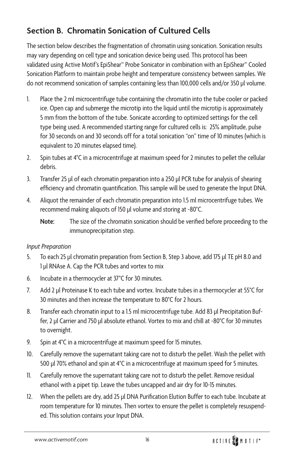### **Section B. Chromatin Sonication of Cultured Cells**

The section below describes the fragmentation of chromatin using sonication. Sonication results may vary depending on cell type and sonication device being used. This protocol has been validated using Active Motif's EpiShear™ Probe Sonicator in combination with an EpiShear™ Cooled Sonication Platform to maintain probe height and temperature consistency between samples. We do not recommend sonication of samples containing less than 100,000 cells and/or 350 µl volume.

- 1. Place the 2 ml microcentrifuge tube containing the chromatin into the tube cooler or packed ice. Open cap and submerge the microtip into the liquid until the microtip is approximately 5 mm from the bottom of the tube. Sonicate according to optimized settings for the cell type being used. A recommended starting range for cultured cells is: 25% amplitude, pulse for 30 seconds on and 30 seconds off for a total sonication "on" time of 10 minutes (which is equivalent to 20 minutes elapsed time).
- 2. Spin tubes at 4°C in a microcentrifuge at maximum speed for 2 minutes to pellet the cellular debris.
- 3. Transfer 25 µl of each chromatin preparation into a 250 µl PCR tube for analysis of shearing efficiency and chromatin quantification. This sample will be used to generate the Input DNA.
- 4. Aliquot the remainder of each chromatin preparation into 1.5 ml microcentrifuge tubes. We recommend making aliquots of 150 µl volume and storing at -80°C.
	- **Note:** The size of the chromatin sonication should be verified before proceeding to the immunoprecipitation step.

### *Input Preparation*

- 5. To each 25 µl chromatin preparation from Section B, Step 3 above, add 175 µl TE pH 8.0 and 1 µl RNAse A. Cap the PCR tubes and vortex to mix
- 6. Incubate in a thermocycler at 37°C for 30 minutes.
- 7. Add 2 µl Proteinase K to each tube and vortex. Incubate tubes in a thermocycler at 55°C for 30 minutes and then increase the temperature to 80°C for 2 hours.
- 8. Transfer each chromatin input to a 1.5 ml microcentrifuge tube. Add 83 µl Precipitation Buffer, 2 µl Carrier and 750 µl absolute ethanol. Vortex to mix and chill at -80°C for 30 minutes to overnight.
- 9. Spin at 4°C in a microcentrifuge at maximum speed for 15 minutes.
- 10. Carefully remove the supernatant taking care not to disturb the pellet. Wash the pellet with 500 µl 70% ethanol and spin at 4°C in a microcentrifuge at maximum speed for 5 minutes.
- 11. Carefully remove the supernatant taking care not to disturb the pellet. Remove residual ethanol with a pipet tip. Leave the tubes uncapped and air dry for 10-15 minutes.
- 12. When the pellets are dry, add 25 µl DNA Purification Elution Buffer to each tube. Incubate at room temperature for 10 minutes. Then vortex to ensure the pellet is completely resuspended. This solution contains your Input DNA.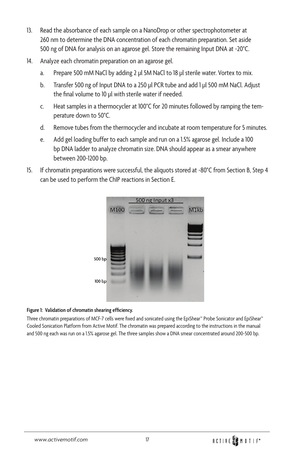- 13. Read the absorbance of each sample on a NanoDrop or other spectrophotometer at 260 nm to determine the DNA concentration of each chromatin preparation. Set aside 500 ng of DNA for analysis on an agarose gel. Store the remaining Input DNA at -20°C.
- 14. Analyze each chromatin preparation on an agarose gel.
	- a. Prepare 500 mM NaCl by adding 2 µl 5M NaCl to 18 µl sterile water. Vortex to mix.
	- b. Transfer 500 ng of Input DNA to a 250 µl PCR tube and add 1 µl 500 mM NaCl. Adjust the final volume to 10 µl with sterile water if needed.
	- c. Heat samples in a thermocycler at 100°C for 20 minutes followed by ramping the temperature down to 50°C.
	- d. Remove tubes from the thermocycler and incubate at room temperature for 5 minutes.
	- e. Add gel loading buffer to each sample and run on a 1.5% agarose gel. Include a 100 bp DNA ladder to analyze chromatin size. DNA should appear as a smear anywhere between 200-1200 bp.
- 15. If chromatin preparations were successful, the aliquots stored at -80°C from Section B, Step 4 can be used to perform the ChIP reactions in Section E.



#### **Figure 1: Validation of chromatin shearing efficiency.**

Three chromatin preparations of MCF-7 cells were fixed and sonicated using the EpiShear™ Probe Sonicator and EpiShear™ Cooled Sonication Platform from Active Motif. The chromatin was prepared according to the instructions in the manual and 500 ng each was run on a 1.5% agarose gel. The three samples show a DNA smear concentrated around 200-500 bp.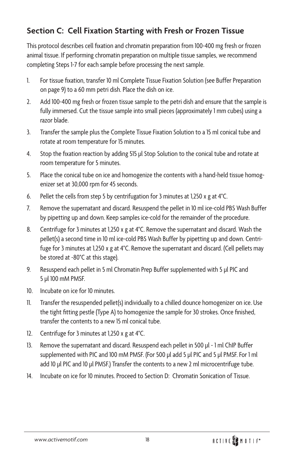### **Section C: Cell Fixation Starting with Fresh or Frozen Tissue**

This protocol describes cell fixation and chromatin preparation from 100-400 mg fresh or frozen animal tissue. If performing chromatin preparation on multiple tissue samples, we recommend completing Steps 1-7 for each sample before processing the next sample.

- 1. For tissue fixation, transfer 10 ml Complete Tissue Fixation Solution (see Buffer Preparation on page 9) to a 60 mm petri dish. Place the dish on ice.
- 2. Add 100-400 mg fresh or frozen tissue sample to the petri dish and ensure that the sample is fully immersed. Cut the tissue sample into small pieces (approximately 1 mm cubes) using a razor blade.
- 3. Transfer the sample plus the Complete Tissue Fixation Solution to a 15 ml conical tube and rotate at room temperature for 15 minutes.
- 4. Stop the fixation reaction by adding 515 µl Stop Solution to the conical tube and rotate at room temperature for 5 minutes.
- 5. Place the conical tube on ice and homogenize the contents with a hand-held tissue homogenizer set at 30,000 rpm for 45 seconds.
- 6. Pellet the cells from step 5 by centrifugation for 3 minutes at 1,250 x g at 4°C.
- 7. Remove the supernatant and discard. Resuspend the pellet in 10 ml ice-cold PBS Wash Buffer by pipetting up and down. Keep samples ice-cold for the remainder of the procedure.
- 8. Centrifuge for 3 minutes at 1,250 x g at 4°C. Remove the supernatant and discard. Wash the pellet(s) a second time in 10 ml ice-cold PBS Wash Buffer by pipetting up and down. Centrifuge for 3 minutes at 1,250 x g at 4°C. Remove the supernatant and discard. (Cell pellets may be stored at -80°C at this stage).
- 9. Resuspend each pellet in 5 ml Chromatin Prep Buffer supplemented with 5 µl PIC and 5 µl 100 mM PMSF.
- 10. Incubate on ice for 10 minutes.
- 11. Transfer the resuspended pellet(s) individually to a chilled dounce homogenizer on ice. Use the tight fitting pestle (Type A) to homogenize the sample for 30 strokes. Once finished, transfer the contents to a new 15 ml conical tube.
- 12. Centrifuge for 3 minutes at 1,250 x g at 4°C.
- 13. Remove the supernatant and discard. Resuspend each pellet in 500 µl 1 ml ChIP Buffer supplemented with PIC and 100 mM PMSF. (For 500 µl add 5 µl PIC and 5 µl PMSF. For 1 ml add 10 µl PIC and 10 µl PMSF.) Transfer the contents to a new 2 ml microcentrifuge tube.
- 14. Incubate on ice for 10 minutes. Proceed to Section D: Chromatin Sonication of Tissue.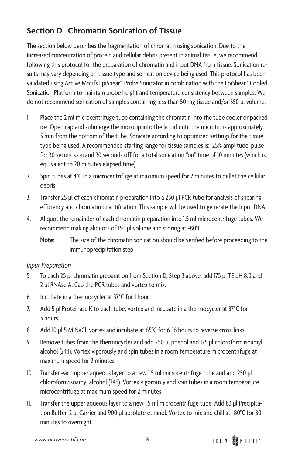### **Section D. Chromatin Sonication of Tissue**

The section below describes the fragmentation of chromatin using sonication. Due to the increased concentration of protein and cellular debris present in animal tissue, we recommend following this protocol for the preparation of chromatin and input DNA from tissue. Sonication results may vary depending on tissue type and sonication device being used. This protocol has been validated using Active Motifs EpiShear™ Probe Sonicator in combination with the EpiShear™ Cooled Sonication Platform to maintain probe height and temperature consistency between samples. We do not recommend sonication of samples containing less than 50 mg tissue and/or 350 µl volume.

- 1. Place the 2 ml microcentrifuge tube containing the chromatin into the tube cooler or packed ice. Open cap and submerge the microtip into the liquid until the microtip is approximately 5 mm from the bottom of the tube. Sonicate according to optimized settings for the tissue type being used. A recommended starting range for tissue samples is: 25% amplitude, pulse for 30 seconds on and 30 seconds off for a total sonication "on" time of 10 minutes (which is equivalent to 20 minutes elapsed time).
- 2. Spin tubes at 4°C in a microcentrifuge at maximum speed for 2 minutes to pellet the cellular debris.
- 3. Transfer 25 µl of each chromatin preparation into a 250 µl PCR tube for analysis of shearing efficiency and chromatin quantification. This sample will be used to generate the Input DNA.
- 4. Aliquot the remainder of each chromatin preparation into 1.5 ml microcentrifuge tubes. We recommend making aliquots of 150 µl volume and storing at -80°C.
	- **Note:** The size of the chromatin sonication should be verified before proceeding to the immunoprecipitation step.

#### *Input Preparation*

- 5. To each 25 µl chromatin preparation from Section D, Step 3 above, add 175 µl TE pH 8.0 and 2 µl RNAse A. Cap the PCR tubes and vortex to mix.
- 6. Incubate in a thermocycler at 37°C for 1 hour.
- 7. Add 5 µl Proteinase K to each tube, vortex and incubate in a thermocycler at 37°C for 3 hours.
- 8. Add 10 µl 5 M NaCl, vortex and incubate at 65°C for 6-16 hours to reverse cross-links.
- 9. Remove tubes from the thermocycler and add 250 µl phenol and 125 µl chloroform:isoamyl alcohol (24:1). Vortex vigorously and spin tubes in a room temperature microcentrifuge at maximum speed for 2 minutes.
- 10. Transfer each upper aqueous layer to a new 1.5 ml microcentrifuge tube and add 250 µl chloroform:isoamyl alcohol (24:1). Vortex vigorously and spin tubes in a room temperature microcentrifuge at maximum speed for 2 minutes.
- 11. Transfer the upper aqueous layer to a new 1.5 ml microcentrifuge tube. Add 83 µl Precipitation Buffer, 2 µl Carrier and 900 µl absolute ethanol. Vortex to mix and chill at -80°C for 30 minutes to overnight.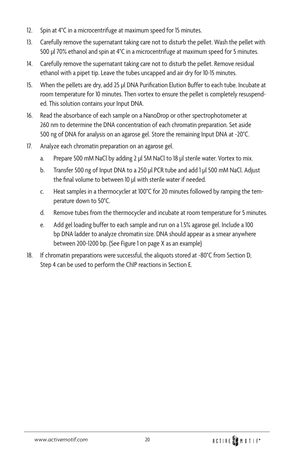- 12. Spin at 4°C in a microcentrifuge at maximum speed for 15 minutes.
- 13. Carefully remove the supernatant taking care not to disturb the pellet. Wash the pellet with 500 µl 70% ethanol and spin at 4°C in a microcentrifuge at maximum speed for 5 minutes.
- 14. Carefully remove the supernatant taking care not to disturb the pellet. Remove residual ethanol with a pipet tip. Leave the tubes uncapped and air dry for 10-15 minutes.
- 15. When the pellets are dry, add 25 µl DNA Purification Elution Buffer to each tube. Incubate at room temperature for 10 minutes. Then vortex to ensure the pellet is completely resuspended. This solution contains your Input DNA.
- 16. Read the absorbance of each sample on a NanoDrop or other spectrophotometer at 260 nm to determine the DNA concentration of each chromatin preparation. Set aside 500 ng of DNA for analysis on an agarose gel. Store the remaining Input DNA at -20°C.
- 17. Analyze each chromatin preparation on an agarose gel.
	- a. Prepare 500 mM NaCl by adding 2 µl 5M NaCl to 18 µl sterile water. Vortex to mix.
	- b. Transfer 500 ng of Input DNA to a 250 µl PCR tube and add 1 µl 500 mM NaCl. Adjust the final volume to between 10 µl with sterile water if needed.
	- c. Heat samples in a thermocycler at 100°C for 20 minutes followed by ramping the temperature down to 50°C.
	- d. Remove tubes from the thermocycler and incubate at room temperature for 5 minutes.
	- e. Add gel loading buffer to each sample and run on a 1.5% agarose gel. Include a 100 bp DNA ladder to analyze chromatin size. DNA should appear as a smear anywhere between 200-1200 bp. (See Figure 1 on page X as an example)
- 18. If chromatin preparations were successful, the aliquots stored at -80°C from Section D, Step 4 can be used to perform the ChIP reactions in Section E.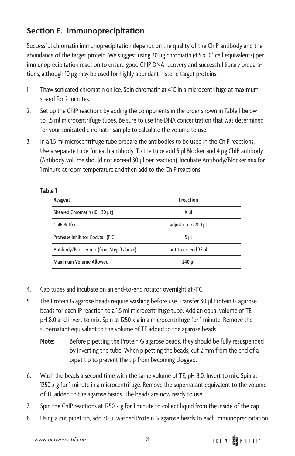### **Section E. Immunoprecipitation**

Successful chromatin immunoprecipitation depends on the quality of the ChIP antibody and the abundance of the target protein. We suggest using 30 µg chromatin (4.5 x 10<sup>6</sup> cell equivalents) per immunoprecipitation reaction to ensure good ChIP DNA recovery and successful library preparations, although 10 µg may be used for highly abundant histone target proteins.

- 1. Thaw sonicated chromatin on ice. Spin chromatin at 4°C in a microcentrifuge at maximum speed for 2 minutes.
- 2. Set up the ChIP reactions by adding the components in the order shown in Table 1 below to 1.5 ml microcentrifuge tubes. Be sure to use the DNA concentration that was determined for your sonicated chromatin sample to calculate the volume to use.
- 3. In a 1.5 ml microcentrifuge tube prepare the antibodies to be used in the ChIP reactions. Use a separate tube for each antibody. To the tube add 5 µl Blocker and 4 µg ChIP antibody. (Antibody volume should not exceed 30 µl per reaction). Incubate Antibody/Blocker mix for 1 minute at room temperature and then add to the ChIP reactions.

### **Table 1**

| Reagent                                  | 1 reaction          |
|------------------------------------------|---------------------|
| Sheared Chromatin (10 - 30 µg)           | Χμl                 |
| ChIP Buffer                              | adjust up to 200 µl |
| Protease Inhibitor Cocktail (PIC)        | 5 <sub>µ</sub>      |
| Antibody/Blocker mix (from Step 3 above) | not to exceed 35 µl |
| Maximum Volume Allowed                   | 240 µl              |

- 4. Cap tubes and incubate on an end-to-end rotator overnight at 4°C.
- 5. The Protein G agarose beads require washing before use. Transfer 30 µl Protein G agarose beads for each IP reaction to a 1.5 ml microcentrifuge tube. Add an equal volume of TE, pH 8.0 and invert to mix. Spin at 1250 x g in a microcentrifuge for 1 minute. Remove the supernatant equivalent to the volume of TE added to the agarose beads.
	- **Note:** Before pipetting the Protein G agarose beads, they should be fully resuspended by inverting the tube. When pipetting the beads, cut 2 mm from the end of a pipet tip to prevent the tip from becoming clogged.
- 6. Wash the beads a second time with the same volume of TE, pH 8.0. Invert to mix. Spin at 1250 x g for 1 minute in a microcentrifuge. Remove the supernatant equivalent to the volume of TE added to the agarose beads. The beads are now ready to use.
- 7. Spin the ChIP reactions at 1250 x g for 1 minute to collect liquid from the inside of the cap.
- 8. Using a cut pipet tip, add 30 µl washed Protein G agarose beads to each immunoprecipitation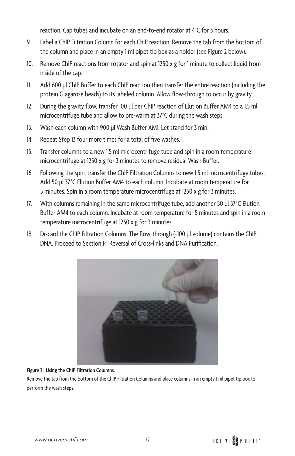reaction. Cap tubes and incubate on an end-to-end rotator at 4°C for 3 hours.

- 9. Label a ChIP Filtration Column for each ChIP reaction. Remove the tab from the bottom of the column and place in an empty 1 ml pipet tip box as a holder (see Figure 2 below).
- 10. Remove ChIP reactions from rotator and spin at 1250 x g for 1 minute to collect liquid from inside of the cap.
- 11. Add 600 µl ChIP Buffer to each ChIP reaction then transfer the entire reaction (including the protein G agarose beads) to its labeled column. Allow flow-through to occur by gravity.
- 12. During the gravity flow, transfer 100 µl per ChIP reaction of Elution Buffer AM4 to a 1.5 ml microcentrifuge tube and allow to pre-warm at 37°C during the wash steps.
- 13. Wash each column with 900 µl Wash Buffer AM1. Let stand for 3 min.
- 14. Repeat Step 13 four more times for a total of five washes.
- 15. Transfer columns to a new 1.5 ml microcentrifuge tube and spin in a room temperature microcentrifuge at 1250 x g for 3 minutes to remove residual Wash Buffer.
- 16. Following the spin, transfer the ChIP Filtration Columns to new 1.5 ml microcentrifuge tubes. Add 50 µl 37°C Elution Buffer AM4 to each column. Incubate at room temperature for 5 minutes. Spin in a room temperature microcentrifuge at 1250 x g for 3 minutes.
- 17. With columns remaining in the same microcentrifuge tube, add another 50 µl 37°C Elution Buffer AM4 to each column. Incubate at room temperature for 5 minutes and spin in a room temperature microcentrifuge at 1250 x g for 3 minutes.
- 18. Discard the ChIP Filtration Columns. The flow-through (~100 µl volume) contains the ChIP DNA. Proceed to Section F: Reversal of Cross-links and DNA Purification.



#### **Figure 2: Using the ChIP Filtration Columns.**

Remove the tab from the bottom of the ChIP Filtration Columns and place columns in an empty 1 ml pipet tip box to perform the wash steps.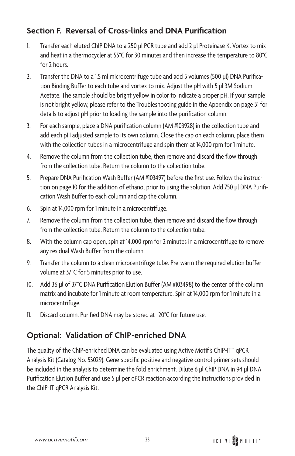### **Section F. Reversal of Cross-links and DNA Purification**

- 1. Transfer each eluted ChIP DNA to a 250 µl PCR tube and add 2 µl Proteinase K. Vortex to mix and heat in a thermocycler at 55°C for 30 minutes and then increase the temperature to 80°C for 2 hours.
- 2. Transfer the DNA to a 1.5 ml microcentrifuge tube and add 5 volumes (500 µl) DNA Purification Binding Buffer to each tube and vortex to mix. Adjust the pH with 5 µl 3M Sodium Acetate. The sample should be bright yellow in color to indicate a proper pH. If your sample is not bright yellow, please refer to the Troubleshooting guide in the Appendix on page 31 for details to adjust pH prior to loading the sample into the purification column.
- 3. For each sample, place a DNA purification column (AM #103928) in the collection tube and add each pH adjusted sample to its own column. Close the cap on each column, place them with the collection tubes in a microcentrifuge and spin them at 14,000 rpm for 1 minute.
- 4. Remove the column from the collection tube, then remove and discard the flow through from the collection tube. Return the column to the collection tube.
- 5. Prepare DNA Purification Wash Buffer (AM #103497) before the first use. Follow the instruction on page 10 for the addition of ethanol prior to using the solution. Add 750 µl DNA Purification Wash Buffer to each column and cap the column.
- 6. Spin at 14,000 rpm for 1 minute in a microcentrifuge.
- 7. Remove the column from the collection tube, then remove and discard the flow through from the collection tube. Return the column to the collection tube.
- 8. With the column cap open, spin at 14,000 rpm for 2 minutes in a microcentrifuge to remove any residual Wash Buffer from the column.
- 9. Transfer the column to a clean microcentrifuge tube. Pre-warm the required elution buffer volume at 37°C for 5 minutes prior to use.
- 10. Add 36 µl of 37°C DNA Purification Elution Buffer (AM #103498) to the center of the column matrix and incubate for 1 minute at room temperature. Spin at 14,000 rpm for 1 minute in a microcentrifuge.
- 11. Discard column. Purified DNA may be stored at -20°C for future use.

### **Optional: Validation of ChIP-enriched DNA**

The quality of the ChIP-enriched DNA can be evaluated using Active Motif's ChIP-IT™ qPCR Analysis Kit (Catalog No. 53029). Gene-specific positive and negative control primer sets should be included in the analysis to determine the fold enrichment. Dilute 6 µl ChIP DNA in 94 µl DNA Purification Elution Buffer and use 5 µl per qPCR reaction according the instructions provided in the ChIP-IT qPCR Analysis Kit.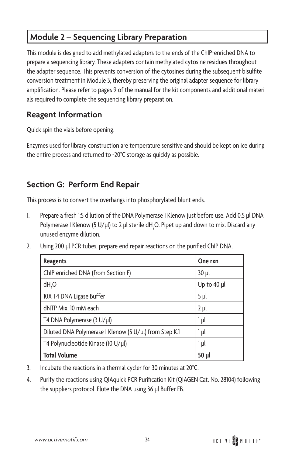# **Module 2 – Sequencing Library Preparation**

This module is designed to add methylated adapters to the ends of the ChIP-enriched DNA to prepare a sequencing library. These adapters contain methylated cytosine residues throughout the adapter sequence. This prevents conversion of the cytosines during the subsequent bisulfite conversion treatment in Module 3, thereby preserving the original adapter sequence for library amplification. Please refer to pages 9 of the manual for the kit components and additional materials required to complete the sequencing library preparation.

### **Reagent Information**

Quick spin the vials before opening.

Enzymes used for library construction are temperature sensitive and should be kept on ice during the entire process and returned to -20°C storage as quickly as possible.

### **Section G: Perform End Repair**

This process is to convert the overhangs into phosphorylated blunt ends.

- 1. Prepare a fresh 1:5 dilution of the DNA Polymerase I Klenow just before use. Add 0.5 µl DNA Polymerase I Klenow (5 U/µl) to 2 µl sterile dH<sub>2</sub>O. Pipet up and down to mix. Discard any unused enzyme dilution.
- 2. Using 200 µl PCR tubes, prepare end repair reactions on the purified ChIP DNA.

| <b>Reagents</b>                                        | One rxn     |
|--------------------------------------------------------|-------------|
| ChIP enriched DNA (from Section F)                     | 30 µl       |
| dH,O                                                   | Up to 40 µl |
| 10X T4 DNA Ligase Buffer                               | 5 µl        |
| dNTP Mix, 10 mM each                                   | $2 \mu l$   |
| T4 DNA Polymerase (3 U/µl)                             | 1 µl        |
| Diluted DNA Polymerase I Klenow (5 U/µl) from Step K.1 | 1 µl        |
| T4 Polynucleotide Kinase (10 U/µl)                     | 1 µl        |
| <b>Total Volume</b>                                    | 50 µl       |

- 3. Incubate the reactions in a thermal cycler for 30 minutes at 20°C.
- 4. Purify the reactions using QIAquick PCR Purification Kit (QIAGEN Cat. No. 28104) following the suppliers protocol. Elute the DNA using 36 µl Buffer EB.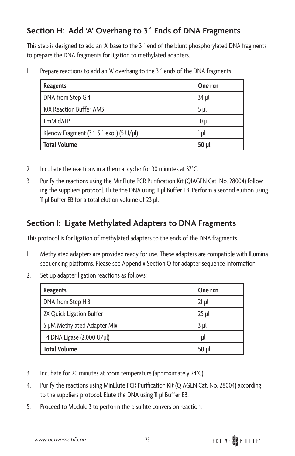### **Section H: Add 'A' Overhang to 3´ Ends of DNA Fragments**

This step is designed to add an 'A' base to the 3<sup>o</sup> end of the blunt phosphorylated DNA fragments to prepare the DNA fragments for ligation to methylated adapters.

1. Prepare reactions to add an 'A' overhang to the 3<sup>o</sup> ends of the DNA fragments.

| <b>Reagents</b>                         | One rxn         |
|-----------------------------------------|-----------------|
| DNA from Step G.4                       | 34 µl           |
| 10X Reaction Buffer AM3                 | 5 <sub>µ</sub>  |
| 1 mM dATP                               | 10 <sub>µ</sub> |
| Klenow Fragment (3 '-5 ' exo-) (5 U/µl) | 1 µl            |
| <b>Total Volume</b>                     | $50$ $\mu$      |

- 2. Incubate the reactions in a thermal cycler for 30 minutes at 37°C.
- 3. Purify the reactions using the MinElute PCR Purification Kit (QIAGEN Cat. No. 28004) following the suppliers protocol. Elute the DNA using 11 µl Buffer EB. Perform a second elution using 11 µl Buffer EB for a total elution volume of 23 µl.

### **Section I: Ligate Methylated Adapters to DNA Fragments**

This protocol is for ligation of methylated adapters to the ends of the DNA fragments.

- 1. Methylated adapters are provided ready for use. These adapters are compatible with Illumina sequencing platforms. Please see Appendix Section O for adapter sequence information.
- 2. Set up adapter ligation reactions as follows:

| <b>Reagents</b>             | One rxn    |
|-----------------------------|------------|
| DNA from Step H.3           | $21$ µ     |
| 2X Quick Ligation Buffer    | $25$ µl    |
| 5 µM Methylated Adapter Mix | $3$ $\mu$  |
| T4 DNA Ligase (2,000 U/µl)  | $1\mu$     |
| <b>Total Volume</b>         | $50$ $\mu$ |

- 3. Incubate for 20 minutes at room temperature (approximately 24°C).
- 4. Purify the reactions using MinElute PCR Purification Kit (QIAGEN Cat. No. 28004) according to the suppliers protocol. Elute the DNA using 11 µl Buffer EB.
- 5. Proceed to Module 3 to perform the bisulfite conversion reaction.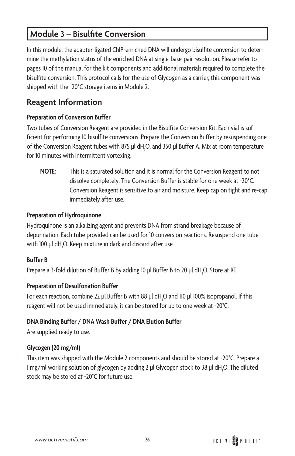### **Module 3 – Bisulfite Conversion**

In this module, the adapter-ligated ChIP-enriched DNA will undergo bisulfite conversion to determine the methylation status of the enriched DNA at single-base-pair resolution. Please refer to pages 10 of the manual for the kit components and additional materials required to complete the bisulfite conversion. This protocol calls for the use of Glycogen as a carrier, this component was shipped with the -20°C storage items in Module 2.

### **Reagent Information**

#### **Preparation of Conversion Buffer**

Two tubes of Conversion Reagent are provided in the Bisulfite Conversion Kit. Each vial is sufficient for performing 10 bisulfite conversions. Prepare the Conversion Buffer by resuspending one of the Conversion Reagent tubes with 875  $\mu$ l dH $_{2}$ O, and 350  $\mu$ l Buffer A. Mix at room temperature for 10 minutes with intermittent vortexing.

**NOTE:** This is a saturated solution and it is normal for the Conversion Reagent to not dissolve completely. The Conversion Buffer is stable for one week at -20°C. Conversion Reagent is sensitive to air and moisture. Keep cap on tight and re-cap immediately after use.

#### **Preparation of Hydroquinone**

Hydroquinone is an alkalizing agent and prevents DNA from strand breakage because of depurination. Each tube provided can be used for 10 conversion reactions. Resuspend one tube with 100  $\mu$ l dH $_{2}$ O. Keep mixture in dark and discard after use.

#### **Buffer B**

Prepare a 3-fold dilution of Buffer B by adding 10  $\mu$ l Buffer B to 20  $\mu$ l dH $_{2}$ O. Store at RT.

#### **Preparation of Desulfonation Buffer**

For each reaction, combine 22  $\mu$ l Buffer B with 88  $\mu$ l dH $_{2}$ O and 110  $\mu$ l 100% isopropanol. If this reagent will not be used immediately, it can be stored for up to one week at -20°C.

#### **DNA Binding Buffer / DNA Wash Buffer / DNA Elution Buffer**

Are supplied ready to use.

#### **Glycogen (20 mg/ml)**

This item was shipped with the Module 2 components and should be stored at -20°C. Prepare a l mg/ml working solution of glycogen by adding 2 µl Glycogen stock to 38 µl dH<sub>2</sub>O. The diluted stock may be stored at -20°C for future use.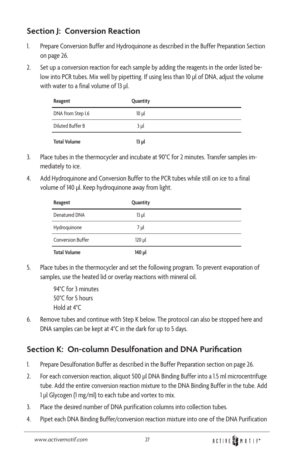### **Section J: Conversion Reaction**

- 1. Prepare Conversion Buffer and Hydroquinone as described in the Buffer Preparation Section on page 26.
- 2. Set up a conversion reaction for each sample by adding the reagents in the order listed below into PCR tubes. Mix well by pipetting. If using less than 10 µl of DNA, adjust the volume with water to a final volume of 13 µl.

| Reagent             | Quantity       |  |
|---------------------|----------------|--|
| DNA from Step I.6   | $10 \mu$       |  |
| Diluted Buffer B    | 3 <sub>µ</sub> |  |
| <b>Total Volume</b> | 13 µl          |  |

- 3. Place tubes in the thermocycler and incubate at 90°C for 2 minutes. Transfer samples immediately to ice.
- 4. Add Hydroquinone and Conversion Buffer to the PCR tubes while still on ice to a final volume of 140 µl. Keep hydroquinone away from light.

| Reagent                  | Quantity    |
|--------------------------|-------------|
| Denatured DNA            | $13$ $\mu$  |
| Hydroquinone             | 7 µl        |
| <b>Conversion Buffer</b> | $120$ $\mu$ |
| <b>Total Volume</b>      | 140 µl      |

5. Place tubes in the thermocycler and set the following program. To prevent evaporation of samples, use the heated lid or overlay reactions with mineral oil.

> 94°C for 3 minutes 50°C for 5 hours Hold at 4°C

6. Remove tubes and continue with Step K below. The protocol can also be stopped here and DNA samples can be kept at 4°C in the dark for up to 5 days.

### **Section K: On-column Desulfonation and DNA Purification**

- 1. Prepare Desulfonation Buffer as described in the Buffer Preparation section on page 26.
- 2. For each conversion reaction, aliquot 500 µl DNA Binding Buffer into a 1.5 ml microcentrifuge tube. Add the entire conversion reaction mixture to the DNA Binding Buffer in the tube. Add 1 µl Glycogen (1 mg/ml) to each tube and vortex to mix.
- 3. Place the desired number of DNA purification columns into collection tubes.
- 4. Pipet each DNA Binding Buffer/conversion reaction mixture into one of the DNA Purification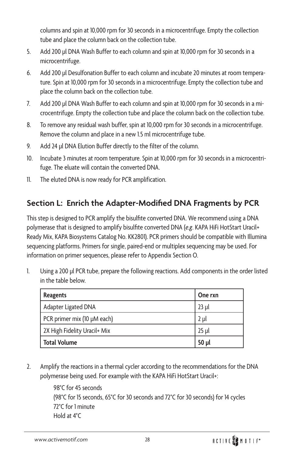columns and spin at 10,000 rpm for 30 seconds in a microcentrifuge. Empty the collection tube and place the column back on the collection tube.

- 5. Add 200 µl DNA Wash Buffer to each column and spin at 10,000 rpm for 30 seconds in a microcentrifuge.
- 6. Add 200 µl Desulfonation Buffer to each column and incubate 20 minutes at room temperature. Spin at 10,000 rpm for 30 seconds in a microcentrifuge. Empty the collection tube and place the column back on the collection tube.
- 7. Add 200 µl DNA Wash Buffer to each column and spin at 10,000 rpm for 30 seconds in a microcentrifuge. Empty the collection tube and place the column back on the collection tube.
- 8. To remove any residual wash buffer, spin at 10,000 rpm for 30 seconds in a microcentrifuge. Remove the column and place in a new 1.5 ml microcentrifuge tube.
- 9. Add 24 µl DNA Elution Buffer directly to the filter of the column.
- 10. Incubate 3 minutes at room temperature. Spin at 10,000 rpm for 30 seconds in a microcentrifuge. The eluate will contain the converted DNA.
- 11. The eluted DNA is now ready for PCR amplification.

# **Section L: Enrich the Adapter-Modified DNA Fragments by PCR**

This step is designed to PCR amplify the bisulfite converted DNA. We recommend using a DNA polymerase that is designed to amplify bisulfite converted DNA (*e.g*. KAPA HiFi HotStart Uracil+ Ready Mix, KAPA Biosystems Catalog No. KK2801). PCR primers should be compatible with Illumina sequencing platforms. Primers for single, paired-end or multiplex sequencing may be used. For information on primer sequences, please refer to Appendix Section O.

1. Using a 200 µl PCR tube, prepare the following reactions. Add components in the order listed in the table below.

| <b>Reagents</b>              | One rxn    |
|------------------------------|------------|
| Adapter Ligated DNA          | $23$ ul    |
| PCR primer mix (10 µM each)  | 2 µl       |
| 2X High Fidelity Uracil+ Mix | 25 ul      |
| <b>Total Volume</b>          | $50$ $\mu$ |

2. Amplify the reactions in a thermal cycler according to the recommendations for the DNA polymerase being used. For example with the KAPA HiFi HotStart Uracil+:

> 98°C for 45 seconds (98°C for 15 seconds, 65°C for 30 seconds and 72°C for 30 seconds) for 14 cycles 72°C for 1 minute Hold at 4°C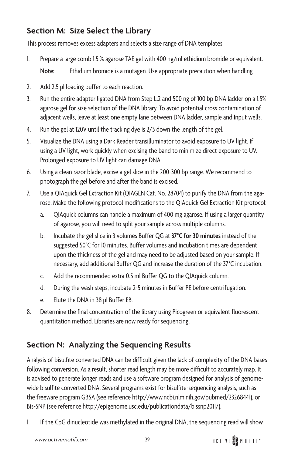### **Section M: Size Select the Library**

This process removes excess adapters and selects a size range of DNA templates.

- 1. Prepare a large comb 1.5.% agarose TAE gel with 400 ng/ml ethidium bromide or equivalent. **Note:** Ethidium bromide is a mutagen. Use appropriate precaution when handling.
- 2. Add 2.5 µl loading buffer to each reaction.
- 3. Run the entire adapter ligated DNA from Step L.2 and 500 ng of 100 bp DNA ladder on a 1.5% agarose gel for size selection of the DNA library. To avoid potential cross contamination of adjacent wells, leave at least one empty lane between DNA ladder, sample and Input wells.
- 4. Run the gel at 120V until the tracking dye is 2/3 down the length of the gel.
- 5. Visualize the DNA using a Dark Reader transilluminator to avoid exposure to UV light. If using a UV light, work quickly when excising the band to minimize direct exposure to UV. Prolonged exposure to UV light can damage DNA.
- 6. Using a clean razor blade, excise a gel slice in the 200-300 bp range. We recommend to photograph the gel before and after the band is excised.
- 7. Use a QIAquick Gel Extraction Kit (QIAGEN Cat. No. 28704) to purify the DNA from the agarose. Make the following protocol modifications to the QIAquick Gel Extraction Kit protocol:
	- a. QIAquick columns can handle a maximum of 400 mg agarose. If using a larger quantity of agarose, you will need to split your sample across multiple columns.
	- b. Incubate the gel slice in 3 volumes Buffer QG at **37°C for 30 minutes** instead of the suggested 50°C for 10 minutes. Buffer volumes and incubation times are dependent upon the thickness of the gel and may need to be adjusted based on your sample. If necessary, add additional Buffer QG and increase the duration of the 37°C incubation.
	- c. Add the recommended extra 0.5 ml Buffer QG to the QIAquick column.
	- d. During the wash steps, incubate 2-5 minutes in Buffer PE before centrifugation.
	- e. Elute the DNA in 38 µl Buffer EB.
- 8. Determine the final concentration of the library using Picogreen or equivalent fluorescent quantitation method. Libraries are now ready for sequencing.

# **Section N: Analyzing the Sequencing Results**

Analysis of bisulfite converted DNA can be difficult given the lack of complexity of the DNA bases following conversion. As a result, shorter read length may be more difficult to accurately map. It is advised to generate longer reads and use a software program designed for analysis of genomewide bisulfite converted DNA. Several programs exist for bisulfite-sequencing analysis, such as the freeware program GBSA (see reference http://www.ncbi.nlm.nih.gov/pubmed/23268441), or Bis-SNP (see reference http://epigenome.usc.edu/publicationdata/bissnp2011/).

1. If the CpG dinucleotide was methylated in the original DNA, the sequencing read will show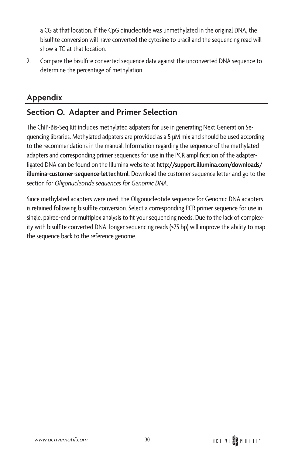a CG at that location. If the CpG dinucleotide was unmethylated in the original DNA, the bisulfite conversion will have converted the cytosine to uracil and the sequencing read will show a TG at that location.

2. Compare the bisulfite converted sequence data against the unconverted DNA sequence to determine the percentage of methylation.

### **Appendix**

## **Section O. Adapter and Primer Selection**

The ChIP-Bis-Seq Kit includes methylated adpaters for use in generating Next Generation Sequencing libraries. Methylated adpaters are provided as a 5 µM mix and should be used according to the recommendations in the manual. Information regarding the sequence of the methylated adapters and corresponding primer sequences for use in the PCR amplification of the adapterligated DNA can be found on the Illumina website at **[http://support.illumina.com/downloads/](http://support.illumina.com/downloads/illumina-customer-sequence-letter.html) [illumina-customer-sequence-letter.html](http://support.illumina.com/downloads/illumina-customer-sequence-letter.html)**. Download the customer sequence letter and go to the section for *Oligonucleotide sequences for Genomic DNA*.

Since methylated adapters were used, the Oligonucleotide sequence for Genomic DNA adapters is retained following bisulfite conversion. Select a corresponding PCR primer sequence for use in single, paired-end or multiplex analysis to fit your sequencing needs. Due to the lack of complexity with bisulfite converted DNA, longer sequencing reads (>75 bp) will improve the ability to map the sequence back to the reference genome.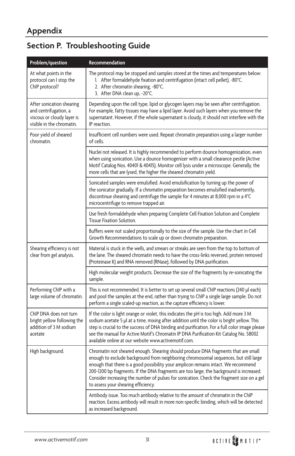# **Section P. Troubleshooting Guide**

| Problem/question                                                                                              | Recommendation                                                                                                                                                                                                                                                                                                                                                                                                                                                                                  |
|---------------------------------------------------------------------------------------------------------------|-------------------------------------------------------------------------------------------------------------------------------------------------------------------------------------------------------------------------------------------------------------------------------------------------------------------------------------------------------------------------------------------------------------------------------------------------------------------------------------------------|
| At what points in the<br>protocol can I stop the<br>ChIP protocol?                                            | The protocol may be stopped and samples stored at the times and temperatures below:<br>1. After formaldehyde fixation and centrifugation (intact cell pellet), -80°C.<br>2. After chromatin shearing, -80°C.<br>3. After DNA clean up, -20°C.                                                                                                                                                                                                                                                   |
| After sonication shearing<br>and centrifugation, a<br>viscous or cloudy layer is<br>visible in the chromatin. | Depending upon the cell type, lipid or glycogen layers may be seen after centrifugation.<br>For example, fatty tissues may have a lipid layer. Avoid such layers when you remove the<br>supernatant. However, if the whole supernatant is cloudy, it should not interfere with the<br>IP reaction.                                                                                                                                                                                              |
| Poor yield of sheared<br>chromatin.                                                                           | Insufficient cell numbers were used. Repeat chromatin preparation using a larger number<br>of cells.                                                                                                                                                                                                                                                                                                                                                                                            |
|                                                                                                               | Nuclei not released. It is highly recommended to perform dounce homogenization, even<br>when using sonication. Use a dounce homogenizer with a small clearance pestle (Active<br>Motif Catalog Nos. 40401 & 40415). Monitor cell lysis under a microscope. Generally, the<br>more cells that are lysed, the higher the sheared chromatin yield.                                                                                                                                                 |
|                                                                                                               | Sonicated samples were emulsified. Avoid emulsification by turning up the power of<br>the sonicator gradually. If a chromatin preparation becomes emulsified inadvertently,<br>discontinue shearing and centrifuge the sample for 4 minutes at 8,000 rpm in a 4°C<br>microcentrifuge to remove trapped air.                                                                                                                                                                                     |
|                                                                                                               | Use fresh formaldehyde when preparing Complete Cell Fixation Solution and Complete<br><b>Tissue Fixation Solution.</b>                                                                                                                                                                                                                                                                                                                                                                          |
|                                                                                                               | Buffers were not scaled proportionally to the size of the sample. Use the chart in Cell<br>Growth Recommendations to scale up or down chromatin preparation.                                                                                                                                                                                                                                                                                                                                    |
| Shearing efficiency is not<br>clear from gel analysis.                                                        | Material is stuck in the wells, and smears or streaks are seen from the top to bottom of<br>the lane. The sheared chromatin needs to have the cross-links reversed, protein removed<br>(Proteinase K) and RNA removed (RNase), followed by DNA purification.                                                                                                                                                                                                                                    |
|                                                                                                               | High molecular weight products. Decrease the size of the fragments by re-sonicating the<br>sample.                                                                                                                                                                                                                                                                                                                                                                                              |
| Performing ChIP with a<br>large volume of chromatin.                                                          | This is not recommended. It is better to set up several small ChIP reactions (240 µl each)<br>and pool the samples at the end, rather than trying to ChIP a single large sample. Do not<br>perform a single scaled-up reaction, as the capture efficiency is lower.                                                                                                                                                                                                                             |
| ChIP DNA does not turn<br>bright yellow following the<br>addition of 3 M sodium<br>acetate                    | If the color is light orange or violet, this indicates the pH is too high. Add more 3 M<br>sodium acetate 5 µl at a time, mixing after addition until the color is bright yellow. This<br>step is crucial to the success of DNA binding and purification. For a full color image please<br>see the manual for Active Motif's Chromatin IP DNA Purification Kit Catalog No. 58002<br>available online at our website www.activemotif.com.                                                        |
| High background.                                                                                              | Chromatin not sheared enough. Shearing should produce DNA fragments that are small<br>enough to exclude background from neighboring chromosomal sequences, but still large<br>enough that there is a good possibility your amplicon remains intact. We recommend<br>200-1200 bp fragments. If the DNA fragments are too large, the background is increased.<br>Consider increasing the number of pulses for sonication. Check the fragment size on a gel<br>to assess your shearing efficiency. |
|                                                                                                               | Antibody issue. Too much antibody relative to the amount of chromatin in the ChIP<br>reaction. Excess antibody will result in more non-specific binding, which will be detected<br>as increased background.                                                                                                                                                                                                                                                                                     |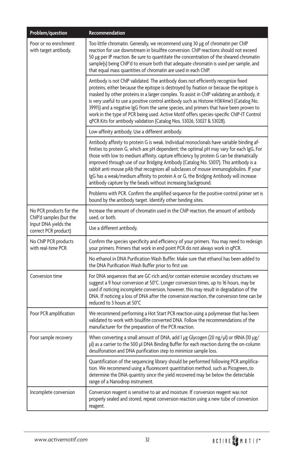| Problem/question                                   | Recommendation                                                                                                                                                                                                                                                                                                                                                                                                                                                                                                                                                                                                                      |
|----------------------------------------------------|-------------------------------------------------------------------------------------------------------------------------------------------------------------------------------------------------------------------------------------------------------------------------------------------------------------------------------------------------------------------------------------------------------------------------------------------------------------------------------------------------------------------------------------------------------------------------------------------------------------------------------------|
| Poor or no enrichment<br>with target antibody.     | Too little chromatin. Generally, we recommend using 30 µg of chromatin per ChIP<br>reaction for use downstream in bisulfite conversion. ChIP reactions should not exceed<br>50 µg per IP reaction. Be sure to quantitate the concentration of the sheared chromatin<br>sample(s) being ChIP'd to ensure both that adequate chromatin is used per sample, and<br>that equal mass quantities of chromatin are used in each ChIP.                                                                                                                                                                                                      |
|                                                    | Antibody is not ChIP validated. The antibody does not efficiently recognize fixed<br>proteins, either because the epitope is destroyed by fixation or because the epitope is<br>masked by other proteins in a larger complex. To assist in ChIP validating an antibody, it<br>is very useful to use a positive control antibody such as Histone H3K4me3 (Catalog No.<br>39915) and a negative IgG from the same species, and primers that have been proven to<br>work in the type of PCR being used. Active Motif offers species-specific ChIP-IT Control<br>qPCR Kits for antibody validation (Catalog Nos. 53026, 53027 & 53028). |
|                                                    | Low-affinity antibody. Use a different antibody.                                                                                                                                                                                                                                                                                                                                                                                                                                                                                                                                                                                    |
|                                                    | Antibody affinity to protein G is weak. Individual monoclonals have variable binding af-<br>finities to protein G, which are pH dependent; the optimal pH may vary for each IgG, For<br>those with low to medium affinity, capture efficiency by protein G can be dramatically<br>improved through use of our Bridging Antibody (Catalog No. 53017). This antibody is a<br>rabbit anti-mouse pAb that recognizes all subclasses of mouse immunoglobulins. If your<br>IgG has a weak/medium affinity to protein A or G, the Bridging Antibody will increase<br>antibody capture by the beads without increasing background.          |
|                                                    | Problems with PCR. Confirm the amplified sequence for the positive control primer set is<br>bound by the antibody target. Identify other binding sites.                                                                                                                                                                                                                                                                                                                                                                                                                                                                             |
| No PCR products for the<br>ChIP'd samples (but the | Increase the amount of chromatin used in the ChIP reaction, the amount of antibody<br>used, or both.                                                                                                                                                                                                                                                                                                                                                                                                                                                                                                                                |
| Input DNA yields the<br>correct PCR product)       | Use a different antibody.                                                                                                                                                                                                                                                                                                                                                                                                                                                                                                                                                                                                           |
| No ChIP PCR products<br>with real-time PCR         | Confirm the species specificity and efficiency of your primers. You may need to redesign<br>your primers. Primers that work in end point PCR do not always work in qPCR.                                                                                                                                                                                                                                                                                                                                                                                                                                                            |
|                                                    | No ethanol in DNA Purification Wash Buffer. Make sure that ethanol has been added to<br>the DNA Purification Wash Buffer prior to first use.                                                                                                                                                                                                                                                                                                                                                                                                                                                                                        |
| Conversion time                                    | For DNA sequences that are GC-rich and/or contain extensive secondary structures we<br>suggest a 9 hour conversion at 50°C. Longer conversion times, up to 16 hours, may be<br>used if noticing incomplete conversion, however, this may result in degradation of the<br>DNA. If noticing a loss of DNA after the conversion reaction, the conversion time can be<br>reduced to 3 hours at 50°C                                                                                                                                                                                                                                     |
| Poor PCR amplification                             | We recommend performing a Hot Start PCR reaction using a polymerase that has been<br>validated to work with bisulfite converted DNA. Follow the recommendations of the<br>manufacturer for the preparation of the PCR reaction.                                                                                                                                                                                                                                                                                                                                                                                                     |
| Poor sample recovery                               | When converting a small amount of DNA, add 1 $\mu$ g Glycogen (20 ng/ $\mu$ l) or tRNA (10 $\mu$ g/<br>µl) as a carrier to the 500 µl DNA Binding Buffer for each reaction during the on-column<br>desulfonation and DNA purification step to minimize sample loss.                                                                                                                                                                                                                                                                                                                                                                 |
|                                                    | Quantification of the sequencing library should be performed following PCR amplifica-<br>tion. We recommend using a fluorescent quantitation method, such as Picogreen, to<br>determine the DNA quantity since the yield recovered may be below the detectable<br>range of a Nanodrop instrument.                                                                                                                                                                                                                                                                                                                                   |
| Incomplete conversion                              | Conversion reagent is sensitive to air and moisture. If conversion reagent was not<br>properly sealed and stored, repeat conversion reaction using a new tube of conversion<br>reagent.                                                                                                                                                                                                                                                                                                                                                                                                                                             |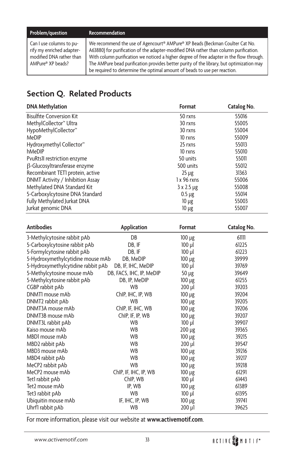#### **Problem/question Recommendation**

Can I use columns to purify my enriched adaptermodified DNA rather than AMPure® XP beads?

We recommend the use of Agencourt® AMPure® XP Beads (Beckman Coulter Cat No. A63880) for purification of the adapter-modified DNA rather than column purification. With column purification we noticed a higher degree of free adapter in the flow through. The AMPure bead purification provides better purity of the library, but optimization may be required to determine the optimal amount of beads to use per reaction.

### **Section Q. Related Products**

| <b>DNA Methylation</b>               | Format        | Catalog No. |
|--------------------------------------|---------------|-------------|
| <b>Bisulfite Conversion Kit</b>      | 50 rxns       | 55016       |
| MethylCollector <sup>™</sup> Ultra   | 30 rxns       | 55005       |
| HypoMethylCollector™                 | 30 rxns       | 55004       |
| MeDIP                                | 10 rxns       | 55009       |
| Hydroxymethyl Collector <sup>™</sup> | 25 rxns       | 55013       |
| hMeDIP                               | 10 rxns       | 55010       |
| PvuRtsII restriction enzyme          | 50 units      | 55011       |
| β-Glucosyltransferase enzyme         | 500 units     | 55012       |
| Recombinant TETI protein, active     | $25 \mu g$    | 31363       |
| DNMT Activity / Inhibition Assay     | $1x96$ rxns   | 55006       |
| Methylated DNA Standard Kit          | $3x2.5 \mu g$ | 55008       |
| 5-Carboxylcytosine DNA Standard      | $0.5 \mu$ g   | 55014       |
| Fully Methylated Jurkat DNA          | $10 \mu$ g    | 55003       |
| Jurkat genomic DNA                   | $10 \mu g$    | 55007       |

| <b>Antibodies</b>                  | Application              | Format      | Catalog No. |
|------------------------------------|--------------------------|-------------|-------------|
| 3-Methylcytosine rabbit pAb        | DB                       | $100 \mu g$ | 61111       |
| 5-Carboxylcytosine rabbit pAb      | DB, IF                   | $100$ $\mu$ | 61225       |
| 5-Formylcytosine rabbit pAb        | DB, IF                   | $100$ $\mu$ | 61223       |
| 5-Hydroxymethylcytidine mouse mAb  | DB, MeDIP                | $100 \mu g$ | 39999       |
| 5-Hydroxymethylcytidine rabbit pAb | DB, IF, IHC, MeDIP       | $100$ $\mu$ | 39769       |
| 5-Methylcytosine mouse mAb         | DB, FACS, IHC, IP, MeDIP | $50 \mu g$  | 39649       |
| 5-Methylcytosine rabbit pAb        | DB, IP, MeDIP            | $100 \mu$ g | 61255       |
| CGBP rabbit pAb                    | <b>WB</b>                | $200$ $\mu$ | 39203       |
| DNMTI mouse mAb                    | ChIP, IHC, IP, WB        | $100 \mu g$ | 39204       |
| DNMT2 rabbit pAb                   | <b>WB</b>                | $100 \mu g$ | 39205       |
| DNMT3A mouse mAb                   | ChIP, IF, IHC, WB        | 100 µg      | 39206       |
| DNMT3B mouse mAb                   | ChIP, IF, IP, WB         | $100 \mu$ g | 39207       |
| DNMT3L rabbit pAb                  | <b>WB</b>                | $100$ $\mu$ | 39907       |
| Kaiso mouse mAb                    | <b>WB</b>                | $200 \mu g$ | 39365       |
| MBD1 mouse mAb                     | <b>WB</b>                | $100 \mu g$ | 39215       |
| MBD2 rabbit pAb                    | <b>WB</b>                | $200$ $\mu$ | 39547       |
| MBD3 mouse mAb                     | <b>WB</b>                | $100 \mu g$ | 39216       |
| MBD4 rabbit pAb                    | WB                       | $100 \mu g$ | 39217       |
| MeCP2 rabbit pAb                   | <b>WB</b>                | $100 \mu g$ | 39218       |
| MeCP <sub>2</sub> mouse mAb        | ChIP, IF, IHC, IP, WB    | $100 \mu$ g | 61291       |
| Tet1 rabbit pAb                    | ChIP, WB                 | $100$ $\mu$ | 61443       |
| Tet2 mouse mAb                     | IP, WB                   | $100 \mu g$ | 61389       |
| Tet3 rabbit pAb                    | <b>WB</b>                | $100$ $\mu$ | 61395       |
| Ubiquitin mouse mAb                | IF, IHC, IP, WB          | $100 \mu$ g | 39741       |
| Uhrf1 rabbit pAb                   | <b>WB</b>                | $200 \mu$   | 39625       |

For more information, please visit our website at **[www.activemotif.com](www.activemotif.com/methylabs)**.